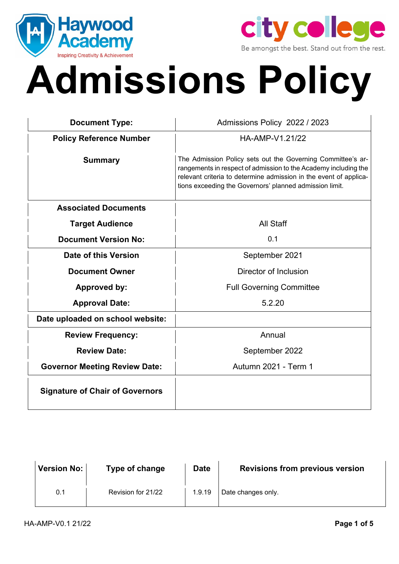



# **Admissions Policy**

| <b>Document Type:</b>                  | Admissions Policy 2022 / 2023                                                                                                                                                                                                                                  |  |  |
|----------------------------------------|----------------------------------------------------------------------------------------------------------------------------------------------------------------------------------------------------------------------------------------------------------------|--|--|
| <b>Policy Reference Number</b>         | HA-AMP-V1.21/22                                                                                                                                                                                                                                                |  |  |
| <b>Summary</b>                         | The Admission Policy sets out the Governing Committee's ar-<br>rangements in respect of admission to the Academy including the<br>relevant criteria to determine admission in the event of applica-<br>tions exceeding the Governors' planned admission limit. |  |  |
| <b>Associated Documents</b>            |                                                                                                                                                                                                                                                                |  |  |
| <b>Target Audience</b>                 | All Staff                                                                                                                                                                                                                                                      |  |  |
| <b>Document Version No:</b>            | 0.1                                                                                                                                                                                                                                                            |  |  |
| Date of this Version                   | September 2021                                                                                                                                                                                                                                                 |  |  |
| <b>Document Owner</b>                  | Director of Inclusion                                                                                                                                                                                                                                          |  |  |
| <b>Approved by:</b>                    | <b>Full Governing Committee</b>                                                                                                                                                                                                                                |  |  |
| <b>Approval Date:</b>                  | 5.2.20                                                                                                                                                                                                                                                         |  |  |
| Date uploaded on school website:       |                                                                                                                                                                                                                                                                |  |  |
| <b>Review Frequency:</b>               | Annual                                                                                                                                                                                                                                                         |  |  |
| <b>Review Date:</b>                    | September 2022                                                                                                                                                                                                                                                 |  |  |
| <b>Governor Meeting Review Date:</b>   | Autumn 2021 - Term 1                                                                                                                                                                                                                                           |  |  |
| <b>Signature of Chair of Governors</b> |                                                                                                                                                                                                                                                                |  |  |

| Version No: | Type of change     | <b>Date</b> | <b>Revisions from previous version</b> |
|-------------|--------------------|-------------|----------------------------------------|
| 0.1         | Revision for 21/22 | 1.9.19      | Date changes only.                     |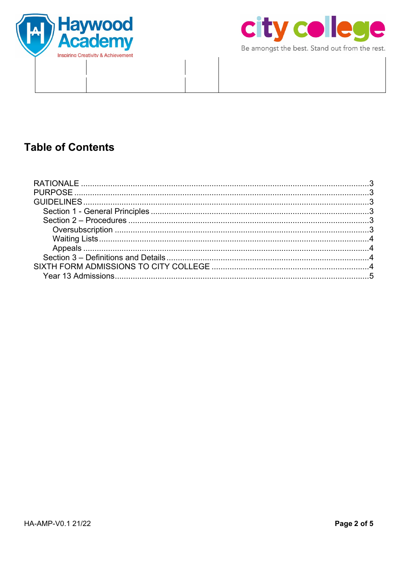



Be amongst the best. Stand out from the rest.

# **Table of Contents**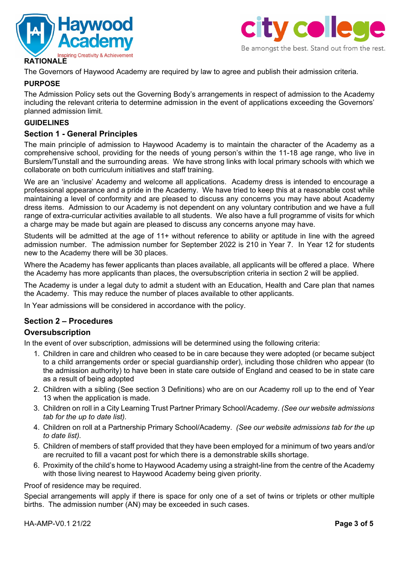



The Governors of Haywood Academy are required by law to agree and publish their admission criteria.

#### **PURPOSE**

The Admission Policy sets out the Governing Body's arrangements in respect of admission to the Academy including the relevant criteria to determine admission in the event of applications exceeding the Governors' planned admission limit.

#### **GUIDELINES**

#### **Section 1 - General Principles**

The main principle of admission to Haywood Academy is to maintain the character of the Academy as a comprehensive school, providing for the needs of young person's within the 11-18 age range, who live in Burslem/Tunstall and the surrounding areas. We have strong links with local primary schools with which we collaborate on both curriculum initiatives and staff training.

We are an 'inclusive' Academy and welcome all applications. Academy dress is intended to encourage a professional appearance and a pride in the Academy. We have tried to keep this at a reasonable cost while maintaining a level of conformity and are pleased to discuss any concerns you may have about Academy dress items. Admission to our Academy is not dependent on any voluntary contribution and we have a full range of extra-curricular activities available to all students. We also have a full programme of visits for which a charge may be made but again are pleased to discuss any concerns anyone may have.

Students will be admitted at the age of 11+ without reference to ability or aptitude in line with the agreed admission number. The admission number for September 2022 is 210 in Year 7. In Year 12 for students new to the Academy there will be 30 places.

Where the Academy has fewer applicants than places available, all applicants will be offered a place. Where the Academy has more applicants than places, the oversubscription criteria in section 2 will be applied.

The Academy is under a legal duty to admit a student with an Education, Health and Care plan that names the Academy. This may reduce the number of places available to other applicants.

In Year admissions will be considered in accordance with the policy.

## **Section 2 – Procedures**

#### **Oversubscription**

In the event of over subscription, admissions will be determined using the following criteria:

- 1. Children in care and children who ceased to be in care because they were adopted (or became subject to a child arrangements order or special guardianship order), including those children who appear (to the admission authority) to have been in state care outside of England and ceased to be in state care as a result of being adopted
- 2. Children with a sibling (See section 3 Definitions) who are on our Academy roll up to the end of Year 13 when the application is made.
- 3. Children on roll in a City Learning Trust Partner Primary School/Academy. *(See our website admissions tab for the up to date list).*
- 4. Children on roll at a Partnership Primary School/Academy. *(See our website admissions tab for the up to date list).*
- 5. Children of members of staff provided that they have been employed for a minimum of two years and/or are recruited to fill a vacant post for which there is a demonstrable skills shortage.
- 6. Proximity of the child's home to Haywood Academy using a straight-line from the centre of the Academy with those living nearest to Haywood Academy being given priority.

Proof of residence may be required.

Special arrangements will apply if there is space for only one of a set of twins or triplets or other multiple births. The admission number (AN) may be exceeded in such cases.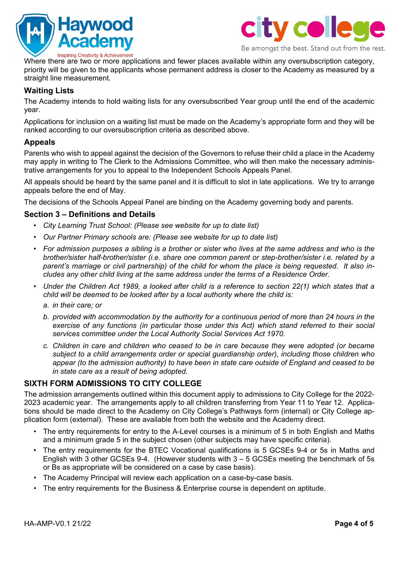



Where there are two or more applications and fewer places available within any oversubscription category, priority will be given to the applicants whose permanent address is closer to the Academy as measured by a straight line measurement.

## **Waiting Lists**

The Academy intends to hold waiting lists for any oversubscribed Year group until the end of the academic year.

Applications for inclusion on a waiting list must be made on the Academy's appropriate form and they will be ranked according to our oversubscription criteria as described above.

#### **Appeals**

Parents who wish to appeal against the decision of the Governors to refuse their child a place in the Academy may apply in writing to The Clerk to the Admissions Committee, who will then make the necessary administrative arrangements for you to appeal to the Independent Schools Appeals Panel.

All appeals should be heard by the same panel and it is difficult to slot in late applications. We try to arrange appeals before the end of May.

The decisions of the Schools Appeal Panel are binding on the Academy governing body and parents.

#### **Section 3 – Definitions and Details**

- *City Learning Trust School: (Please see website for up to date list)*
- *Our Partner Primary schools are: (Please see website for up to date list)*
- *For admission purposes a sibling is a brother or sister who lives at the same address and who is the brother/sister half-brother/sister (i.e. share one common parent or step-brother/sister i.e. related by a parent's marriage or civil partnership) of the child for whom the place is being requested. It also includes any other child living at the same address under the terms of a Residence Order.*
- *Under the Children Act 1989, a looked after child is a reference to section 22(1) which states that a child will be deemed to be looked after by a local authority where the child is:*
	- *a. in their care; or*
	- *b. provided with accommodation by the authority for a continuous period of more than 24 hours in the exercise of any functions (in particular those under this Act) which stand referred to their social services committee under the Local Authority Social Services Act 1970.*
	- *c. Children in care and children who ceased to be in care because they were adopted (or became subject to a child arrangements order or special guardianship order), including those children who appear (to the admission authority) to have been in state care outside of England and ceased to be in state care as a result of being adopted.*

#### **SIXTH FORM ADMISSIONS TO CITY COLLEGE**

The admission arrangements outlined within this document apply to admissions to City College for the 2022- 2023 academic year. The arrangements apply to all children transferring from Year 11 to Year 12. Applications should be made direct to the Academy on City College's Pathways form (internal) or City College application form (external). These are available from both the website and the Academy direct.

- The entry requirements for entry to the A-Level courses is a minimum of 5 in both English and Maths and a minimum grade 5 in the subject chosen (other subjects may have specific criteria).
- The entry requirements for the BTEC Vocational qualifications is 5 GCSEs 9-4 or 5s in Maths and English with 3 other GCSEs 9-4. (However students with 3 – 5 GCSEs meeting the benchmark of 5s or Bs as appropriate will be considered on a case by case basis).
- The Academy Principal will review each application on a case-by-case basis.
- The entry requirements for the Business & Enterprise course is dependent on aptitude.